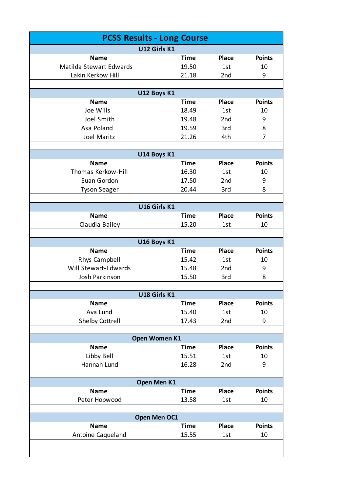| <b>PCSS Results - Long Course</b> |                             |                 |               |  |  |
|-----------------------------------|-----------------------------|-----------------|---------------|--|--|
| U12 Girls K1                      |                             |                 |               |  |  |
| <b>Name</b>                       | <b>Time</b>                 | <b>Place</b>    | <b>Points</b> |  |  |
| Matilda Stewart Edwards           | 19.50                       | 1st             | 10            |  |  |
| Lakin Kerkow Hill                 | 21.18                       | 2 <sub>nd</sub> | 9             |  |  |
|                                   |                             |                 |               |  |  |
|                                   | U12 Boys K1                 |                 |               |  |  |
| <b>Name</b>                       | <b>Time</b>                 | <b>Place</b>    | <b>Points</b> |  |  |
| Joe Wills                         | 18.49                       | 1st             | 10            |  |  |
| Joel Smith                        | 19.48                       | 2 <sub>nd</sub> | 9             |  |  |
| Asa Poland                        | 19.59                       | 3rd             | 8             |  |  |
| <b>Joel Maritz</b>                | 21.26                       | 4th             | 7             |  |  |
|                                   | U14 Boys K1                 |                 |               |  |  |
| <b>Name</b>                       | <b>Time</b>                 | <b>Place</b>    | <b>Points</b> |  |  |
| Thomas Kerkow-Hill                | 16.30                       | 1st             | 10            |  |  |
| Euan Gordon                       | 17.50                       | 2 <sub>nd</sub> | 9             |  |  |
| <b>Tyson Seager</b>               | 20.44                       | 3rd             | 8             |  |  |
|                                   |                             |                 |               |  |  |
|                                   | U16 Girls K1                |                 |               |  |  |
| <b>Name</b>                       | <b>Time</b>                 | <b>Place</b>    | <b>Points</b> |  |  |
| Claudia Bailey                    | 15.20                       | 1st             | 10            |  |  |
|                                   |                             |                 |               |  |  |
|                                   | U16 Boys K1                 |                 |               |  |  |
| <b>Name</b>                       | <b>Time</b>                 | <b>Place</b>    | <b>Points</b> |  |  |
| Rhys Campbell                     | 15.42                       | 1st             | 10            |  |  |
| Will Stewart-Edwards              | 15.48                       | 2 <sub>nd</sub> | 9             |  |  |
| Josh Parkinson                    | 15.50                       | 3rd             | 8             |  |  |
|                                   |                             |                 |               |  |  |
| <b>Name</b>                       | U18 Girls K1<br><b>Time</b> | <b>Place</b>    | <b>Points</b> |  |  |
| Ava Lund                          | 15.40                       | 1st             | 10            |  |  |
| <b>Shelby Cottrell</b>            | 17.43                       | 2nd             | 9             |  |  |
|                                   |                             |                 |               |  |  |
|                                   | Open Women K1               |                 |               |  |  |
| <b>Name</b>                       | <b>Time</b>                 | <b>Place</b>    | <b>Points</b> |  |  |
| Libby Bell                        | 15.51                       | 1st             | 10            |  |  |
| Hannah Lund                       | 16.28                       | 2nd             | 9             |  |  |
|                                   |                             |                 |               |  |  |
| Open Men K1                       |                             |                 |               |  |  |
| <b>Name</b>                       | <b>Time</b>                 | <b>Place</b>    | <b>Points</b> |  |  |
| Peter Hopwood                     | 13.58                       | 1st             | 10            |  |  |
| Open Men OC1                      |                             |                 |               |  |  |
| <b>Name</b>                       | <b>Time</b>                 | <b>Place</b>    | <b>Points</b> |  |  |
| Antoine Caqueland                 | 15.55                       | 1st             | 10            |  |  |
|                                   |                             |                 |               |  |  |
|                                   |                             |                 |               |  |  |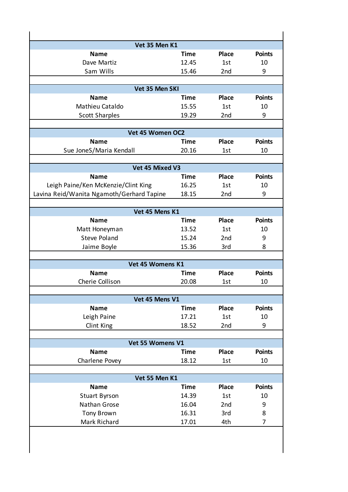| Vet 35 Men K1                             |             |                 |               |
|-------------------------------------------|-------------|-----------------|---------------|
| <b>Name</b>                               | <b>Time</b> | <b>Place</b>    | <b>Points</b> |
| Dave Martiz                               | 12.45       | 1st             | 10            |
| Sam Wills                                 | 15.46       | 2 <sub>nd</sub> | 9             |
|                                           |             |                 |               |
| Vet 35 Men SKI                            |             |                 |               |
| <b>Name</b>                               | <b>Time</b> | <b>Place</b>    | <b>Points</b> |
| Mathieu Cataldo                           | 15.55       | 1st             | 10            |
| <b>Scott Sharples</b>                     | 19.29       | 2 <sub>nd</sub> | 9             |
|                                           |             |                 |               |
| Vet 45 Women OC2                          |             |                 |               |
| <b>Name</b>                               | Time        | <b>Place</b>    | <b>Points</b> |
| Sue JoneS/Maria Kendall                   | 20.16       | 1st             | 10            |
|                                           |             |                 |               |
| Vet 45 Mixed V3                           |             |                 |               |
| <b>Name</b>                               | Time        | <b>Place</b>    | <b>Points</b> |
| Leigh Paine/Ken McKenzie/Clint King       | 16.25       | 1st             | 10            |
| Lavina Reid/Wanita Ngamoth/Gerhard Tapine | 18.15       | 2 <sub>nd</sub> | 9             |
|                                           |             |                 |               |
| Vet 45 Mens K1                            |             |                 |               |
| <b>Name</b>                               | <b>Time</b> | <b>Place</b>    | <b>Points</b> |
| Matt Honeyman                             | 13.52       | 1st             | 10            |
| <b>Steve Poland</b>                       | 15.24       | 2 <sub>nd</sub> | 9             |
| Jaime Boyle                               | 15.36       | 3rd             | 8             |
|                                           |             |                 |               |
| Vet 45 Womens K1                          |             |                 |               |
| <b>Name</b>                               | Time        | <b>Place</b>    | <b>Points</b> |
| Cherie Collison                           | 20.08       | 1st             | 10            |
|                                           |             |                 |               |
| Vet 45 Mens V1                            |             |                 |               |
| <b>Name</b>                               | <b>Time</b> | <b>Place</b>    | <b>Points</b> |
| Leigh Paine                               | 17.21       | 1st             | 10            |
| Clint King                                | 18.52       | 2nd             | 9             |
|                                           |             |                 |               |
| Vet 55 Womens V1                          |             |                 |               |
| <b>Name</b>                               | <b>Time</b> | <b>Place</b>    | <b>Points</b> |
| Charlene Povey                            | 18.12       | 1st             | 10            |
|                                           |             |                 |               |
| Vet 55 Men K1                             |             |                 |               |
| <b>Name</b>                               | <b>Time</b> | <b>Place</b>    | <b>Points</b> |
| <b>Stuart Byrson</b>                      | 14.39       | 1st             | 10            |
| Nathan Grose                              | 16.04       | 2nd             | 9             |
| <b>Tony Brown</b>                         | 16.31       | 3rd             | 8             |
| Mark Richard                              | 17.01       | 4th             | 7             |
|                                           |             |                 |               |
|                                           |             |                 |               |